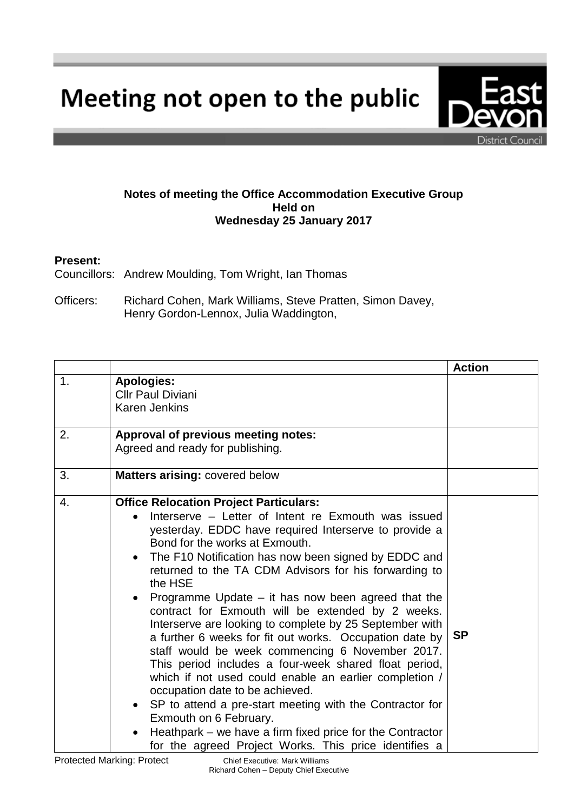Meeting not open to the public

## **Notes of meeting the Office Accommodation Executive Group Held on Wednesday 25 January 2017**

## **Present:**

Councillors: Andrew Moulding, Tom Wright, Ian Thomas

Officers: Richard Cohen, Mark Williams, Steve Pratten, Simon Davey, Henry Gordon-Lennox, Julia Waddington,

|                |                                                                                                                                                                                                                                                                                                                                                                                                                                                                                                                                                                                                                                                                                                                                                                                                                                                                                                                                                                                                                                       | <b>Action</b> |
|----------------|---------------------------------------------------------------------------------------------------------------------------------------------------------------------------------------------------------------------------------------------------------------------------------------------------------------------------------------------------------------------------------------------------------------------------------------------------------------------------------------------------------------------------------------------------------------------------------------------------------------------------------------------------------------------------------------------------------------------------------------------------------------------------------------------------------------------------------------------------------------------------------------------------------------------------------------------------------------------------------------------------------------------------------------|---------------|
| $\mathbf{1}$ . | <b>Apologies:</b><br><b>Cllr Paul Diviani</b><br><b>Karen Jenkins</b>                                                                                                                                                                                                                                                                                                                                                                                                                                                                                                                                                                                                                                                                                                                                                                                                                                                                                                                                                                 |               |
| 2.             | Approval of previous meeting notes:<br>Agreed and ready for publishing.                                                                                                                                                                                                                                                                                                                                                                                                                                                                                                                                                                                                                                                                                                                                                                                                                                                                                                                                                               |               |
| 3.             | Matters arising: covered below                                                                                                                                                                                                                                                                                                                                                                                                                                                                                                                                                                                                                                                                                                                                                                                                                                                                                                                                                                                                        |               |
| 4.             | <b>Office Relocation Project Particulars:</b><br>Interserve – Letter of Intent re Exmouth was issued<br>yesterday. EDDC have required Interserve to provide a<br>Bond for the works at Exmouth.<br>The F10 Notification has now been signed by EDDC and<br>$\bullet$<br>returned to the TA CDM Advisors for his forwarding to<br>the HSE<br>Programme Update - it has now been agreed that the<br>$\bullet$<br>contract for Exmouth will be extended by 2 weeks.<br>Interserve are looking to complete by 25 September with<br>a further 6 weeks for fit out works. Occupation date by<br>staff would be week commencing 6 November 2017.<br>This period includes a four-week shared float period,<br>which if not used could enable an earlier completion /<br>occupation date to be achieved.<br>SP to attend a pre-start meeting with the Contractor for<br>$\bullet$<br>Exmouth on 6 February.<br>Heathpark – we have a firm fixed price for the Contractor<br>$\bullet$<br>for the agreed Project Works. This price identifies a | <b>SP</b>     |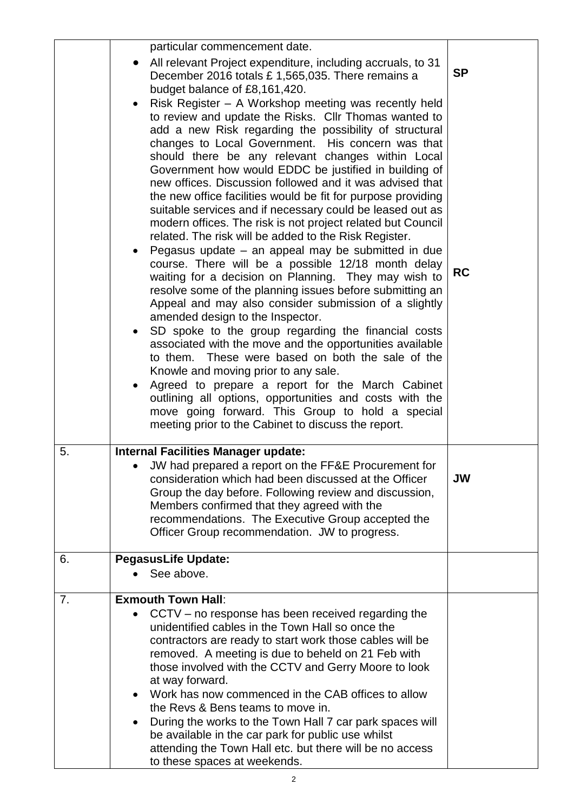|    | particular commencement date.<br>All relevant Project expenditure, including accruals, to 31<br>December 2016 totals £ 1,565,035. There remains a<br>budget balance of £8,161,420.<br>Risk Register - A Workshop meeting was recently held<br>$\bullet$<br>to review and update the Risks. Cllr Thomas wanted to<br>add a new Risk regarding the possibility of structural<br>changes to Local Government. His concern was that<br>should there be any relevant changes within Local<br>Government how would EDDC be justified in building of<br>new offices. Discussion followed and it was advised that<br>the new office facilities would be fit for purpose providing<br>suitable services and if necessary could be leased out as<br>modern offices. The risk is not project related but Council<br>related. The risk will be added to the Risk Register.<br>Pegasus update - an appeal may be submitted in due<br>course. There will be a possible 12/18 month delay<br>waiting for a decision on Planning. They may wish to<br>resolve some of the planning issues before submitting an<br>Appeal and may also consider submission of a slightly<br>amended design to the Inspector.<br>SD spoke to the group regarding the financial costs<br>associated with the move and the opportunities available<br>to them. These were based on both the sale of the<br>Knowle and moving prior to any sale.<br>Agreed to prepare a report for the March Cabinet<br>$\bullet$<br>outlining all options, opportunities and costs with the<br>move going forward. This Group to hold a special | <b>SP</b><br><b>RC</b> |
|----|---------------------------------------------------------------------------------------------------------------------------------------------------------------------------------------------------------------------------------------------------------------------------------------------------------------------------------------------------------------------------------------------------------------------------------------------------------------------------------------------------------------------------------------------------------------------------------------------------------------------------------------------------------------------------------------------------------------------------------------------------------------------------------------------------------------------------------------------------------------------------------------------------------------------------------------------------------------------------------------------------------------------------------------------------------------------------------------------------------------------------------------------------------------------------------------------------------------------------------------------------------------------------------------------------------------------------------------------------------------------------------------------------------------------------------------------------------------------------------------------------------------------------------------------------------------------------------------------|------------------------|
| 5. | meeting prior to the Cabinet to discuss the report.<br><b>Internal Facilities Manager update:</b><br>• JW had prepared a report on the FF&E Procurement for<br>consideration which had been discussed at the Officer<br>Group the day before. Following review and discussion,<br>Members confirmed that they agreed with the<br>recommendations. The Executive Group accepted the<br>Officer Group recommendation. JW to progress.                                                                                                                                                                                                                                                                                                                                                                                                                                                                                                                                                                                                                                                                                                                                                                                                                                                                                                                                                                                                                                                                                                                                                         | <b>JW</b>              |
| 6. | <b>PegasusLife Update:</b><br>See above.                                                                                                                                                                                                                                                                                                                                                                                                                                                                                                                                                                                                                                                                                                                                                                                                                                                                                                                                                                                                                                                                                                                                                                                                                                                                                                                                                                                                                                                                                                                                                    |                        |
| 7. | <b>Exmouth Town Hall:</b><br>CCTV – no response has been received regarding the<br>unidentified cables in the Town Hall so once the<br>contractors are ready to start work those cables will be<br>removed. A meeting is due to beheld on 21 Feb with<br>those involved with the CCTV and Gerry Moore to look<br>at way forward.<br>Work has now commenced in the CAB offices to allow<br>the Revs & Bens teams to move in.<br>During the works to the Town Hall 7 car park spaces will<br>$\bullet$<br>be available in the car park for public use whilst<br>attending the Town Hall etc. but there will be no access<br>to these spaces at weekends.                                                                                                                                                                                                                                                                                                                                                                                                                                                                                                                                                                                                                                                                                                                                                                                                                                                                                                                                      |                        |